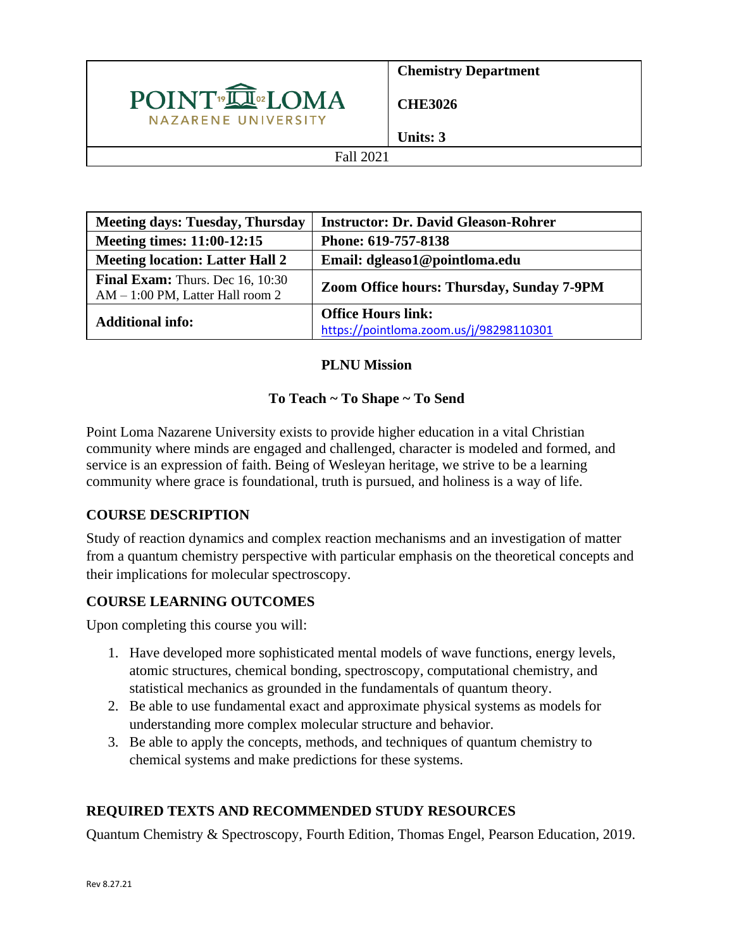

**Chemistry Department**

**CHE3026**

**Units: 3**

Fall 2021

| <b>Meeting days: Tuesday, Thursday</b>                               | <b>Instructor: Dr. David Gleason-Rohrer</b>                          |  |
|----------------------------------------------------------------------|----------------------------------------------------------------------|--|
| <b>Meeting times: 11:00-12:15</b>                                    | Phone: 619-757-8138                                                  |  |
| <b>Meeting location: Latter Hall 2</b>                               | Email: dgleaso1@pointloma.edu                                        |  |
| Final Exam: Thurs. Dec 16, 10:30<br>AM - 1:00 PM, Latter Hall room 2 | Zoom Office hours: Thursday, Sunday 7-9PM                            |  |
| <b>Additional info:</b>                                              | <b>Office Hours link:</b><br>https://pointloma.zoom.us/j/98298110301 |  |

#### **PLNU Mission**

### **To Teach ~ To Shape ~ To Send**

Point Loma Nazarene University exists to provide higher education in a vital Christian community where minds are engaged and challenged, character is modeled and formed, and service is an expression of faith. Being of Wesleyan heritage, we strive to be a learning community where grace is foundational, truth is pursued, and holiness is a way of life.

### **COURSE DESCRIPTION**

Study of reaction dynamics and complex reaction mechanisms and an investigation of matter from a quantum chemistry perspective with particular emphasis on the theoretical concepts and their implications for molecular spectroscopy.

### **COURSE LEARNING OUTCOMES**

Upon completing this course you will:

- 1. Have developed more sophisticated mental models of wave functions, energy levels, atomic structures, chemical bonding, spectroscopy, computational chemistry, and statistical mechanics as grounded in the fundamentals of quantum theory.
- 2. Be able to use fundamental exact and approximate physical systems as models for understanding more complex molecular structure and behavior.
- 3. Be able to apply the concepts, methods, and techniques of quantum chemistry to chemical systems and make predictions for these systems.

# **REQUIRED TEXTS AND RECOMMENDED STUDY RESOURCES**

Quantum Chemistry & Spectroscopy, Fourth Edition, Thomas Engel, Pearson Education, 2019.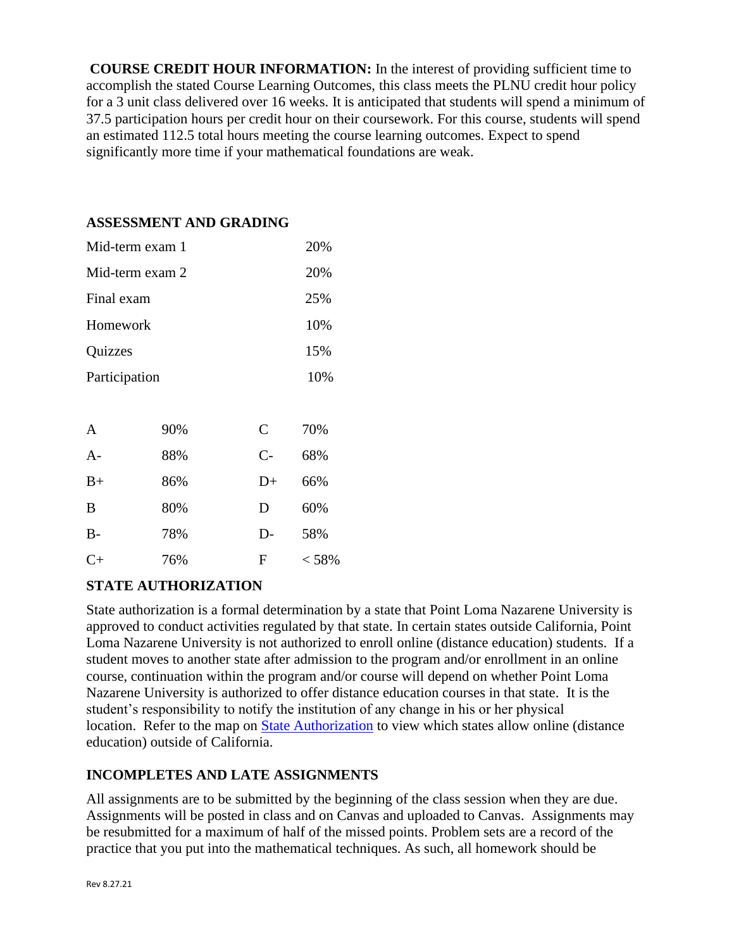**COURSE CREDIT HOUR INFORMATION:** In the interest of providing sufficient time to accomplish the stated Course Learning Outcomes, this class meets the PLNU credit hour policy for a 3 unit class delivered over 16 weeks. It is anticipated that students will spend a minimum of 37.5 participation hours per credit hour on their coursework. For this course, students will spend an estimated 112.5 total hours meeting the course learning outcomes. Expect to spend significantly more time if your mathematical foundations are weak.

#### **ASSESSMENT AND GRADING**

|                 | Mid-term exam 1 |               | 20%   |
|-----------------|-----------------|---------------|-------|
| Mid-term exam 2 |                 |               | 20%   |
| Final exam      |                 |               | 25%   |
| Homework        |                 |               | 10%   |
| Quizzes         |                 |               | 15%   |
| Participation   |                 | 10%           |       |
|                 |                 |               |       |
| A               | 90%             | $\mathcal{C}$ | 70%   |
| $A-$            | 88%             | $C-$          | 68%   |
| $B+$            | 86%             | $D+$          | 66%   |
| B               | 80%             | D             | 60%   |
| $\rm B$ -       | 78%             | $D-$          | 58%   |
| $C+$            | 76%             | F             | < 58% |

# **STATE AUTHORIZATION**

State authorization is a formal determination by a state that Point Loma Nazarene University is approved to conduct activities regulated by that state. In certain states outside California, Point Loma Nazarene University is not authorized to enroll online (distance education) students. If a student moves to another state after admission to the program and/or enrollment in an online course, continuation within the program and/or course will depend on whether Point Loma Nazarene University is authorized to offer distance education courses in that state. It is the student's responsibility to notify the institution of any change in his or her physical location. Refer to the map on [State Authorization](https://www.pointloma.edu/offices/office-institutional-effectiveness-research/disclosures) to view which states allow online (distance education) outside of California.

### **INCOMPLETES AND LATE ASSIGNMENTS**

All assignments are to be submitted by the beginning of the class session when they are due. Assignments will be posted in class and on Canvas and uploaded to Canvas. Assignments may be resubmitted for a maximum of half of the missed points. Problem sets are a record of the practice that you put into the mathematical techniques. As such, all homework should be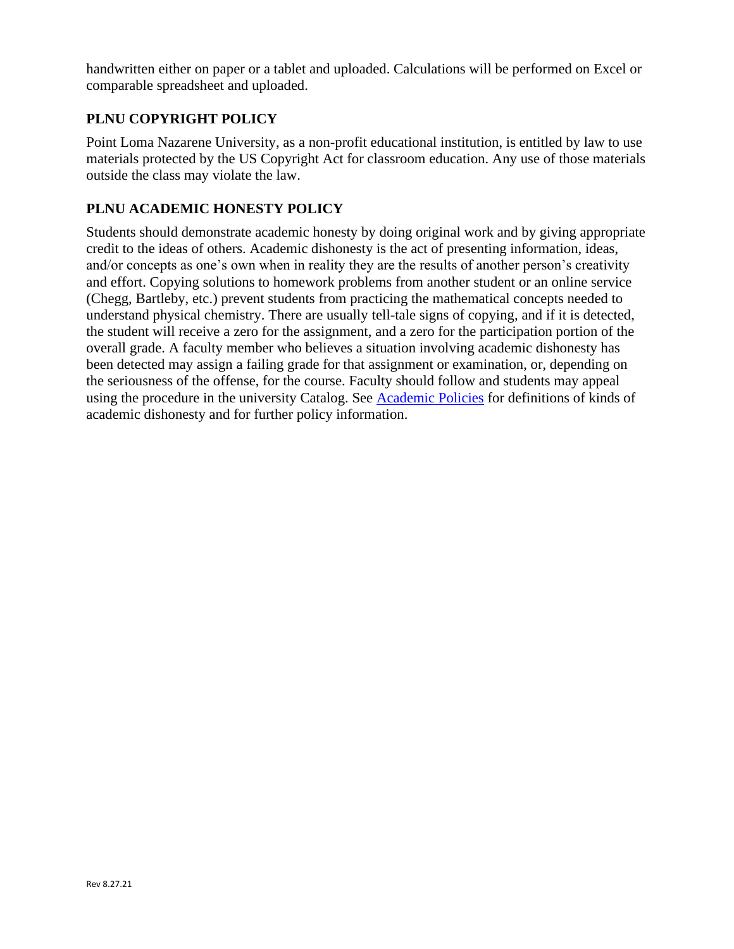handwritten either on paper or a tablet and uploaded. Calculations will be performed on Excel or comparable spreadsheet and uploaded.

# **PLNU COPYRIGHT POLICY**

Point Loma Nazarene University, as a non-profit educational institution, is entitled by law to use materials protected by the US Copyright Act for classroom education. Any use of those materials outside the class may violate the law.

### **PLNU ACADEMIC HONESTY POLICY**

Students should demonstrate academic honesty by doing original work and by giving appropriate credit to the ideas of others. Academic dishonesty is the act of presenting information, ideas, and/or concepts as one's own when in reality they are the results of another person's creativity and effort. Copying solutions to homework problems from another student or an online service (Chegg, Bartleby, etc.) prevent students from practicing the mathematical concepts needed to understand physical chemistry. There are usually tell-tale signs of copying, and if it is detected, the student will receive a zero for the assignment, and a zero for the participation portion of the overall grade. A faculty member who believes a situation involving academic dishonesty has been detected may assign a failing grade for that assignment or examination, or, depending on the seriousness of the offense, for the course. Faculty should follow and students may appeal using the procedure in the university Catalog. See [Academic Policies](https://catalog.pointloma.edu/content.php?catoid=52&navoid=2919#Academic_Honesty) for definitions of kinds of academic dishonesty and for further policy information.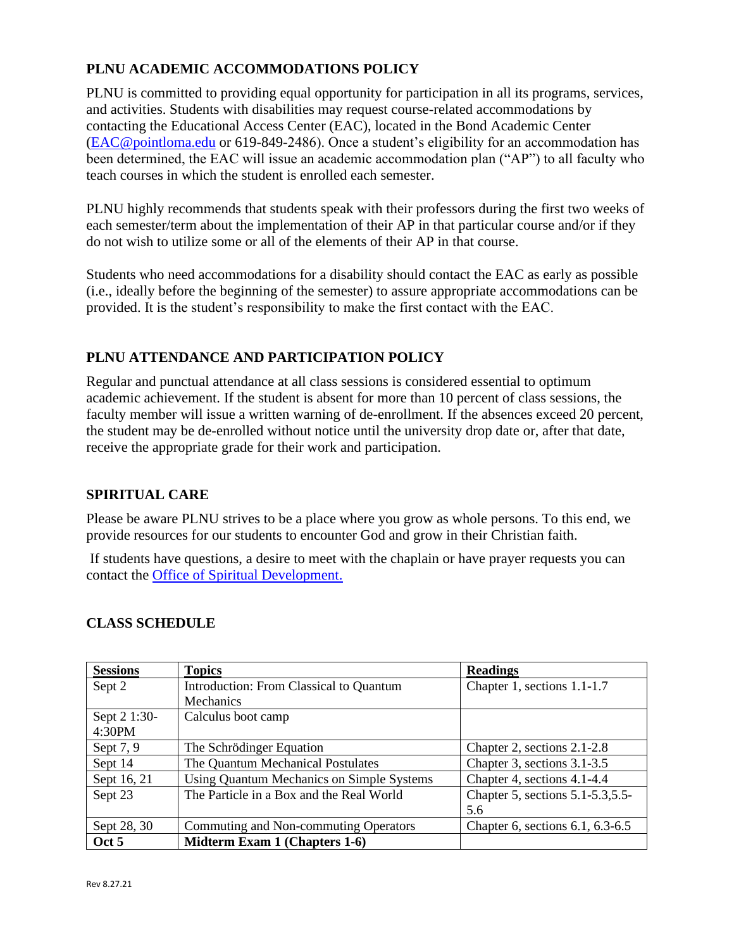# **PLNU ACADEMIC ACCOMMODATIONS POLICY**

PLNU is committed to providing equal opportunity for participation in all its programs, services, and activities. Students with disabilities may request course-related accommodations by contacting the Educational Access Center (EAC), located in the Bond Academic Center [\(EAC@pointloma.edu](mailto:EAC@pointloma.edu) or 619-849-2486). Once a student's eligibility for an accommodation has been determined, the EAC will issue an academic accommodation plan ("AP") to all faculty who teach courses in which the student is enrolled each semester.

PLNU highly recommends that students speak with their professors during the first two weeks of each semester/term about the implementation of their AP in that particular course and/or if they do not wish to utilize some or all of the elements of their AP in that course.

Students who need accommodations for a disability should contact the EAC as early as possible (i.e., ideally before the beginning of the semester) to assure appropriate accommodations can be provided. It is the student's responsibility to make the first contact with the EAC.

### **PLNU ATTENDANCE AND PARTICIPATION POLICY**

Regular and punctual attendance at all class sessions is considered essential to optimum academic achievement. If the student is absent for more than 10 percent of class sessions, the faculty member will issue a written warning of de-enrollment. If the absences exceed 20 percent, the student may be de-enrolled without notice until the university drop date or, after that date, receive the appropriate grade for their work and participation.

#### **SPIRITUAL CARE**

Please be aware PLNU strives to be a place where you grow as whole persons. To this end, we provide resources for our students to encounter God and grow in their Christian faith.

If students have questions, a desire to meet with the chaplain or have prayer requests you can contact the Office of Spiritual Development.

## **CLASS SCHEDULE**

| <b>Sessions</b> | <b>Topics</b>                             | <b>Readings</b>                   |
|-----------------|-------------------------------------------|-----------------------------------|
| Sept 2          | Introduction: From Classical to Quantum   | Chapter 1, sections 1.1-1.7       |
|                 | Mechanics                                 |                                   |
| Sept 2 1:30-    | Calculus boot camp                        |                                   |
| 4:30PM          |                                           |                                   |
| Sept 7, 9       | The Schrödinger Equation                  | Chapter 2, sections 2.1-2.8       |
| Sept 14         | The Quantum Mechanical Postulates         | Chapter 3, sections 3.1-3.5       |
| Sept 16, 21     | Using Quantum Mechanics on Simple Systems | Chapter 4, sections 4.1-4.4       |
| Sept 23         | The Particle in a Box and the Real World  | Chapter 5, sections 5.1-5.3, 5.5- |
|                 |                                           | 5.6                               |
| Sept 28, 30     | Commuting and Non-commuting Operators     | Chapter 6, sections 6.1, 6.3-6.5  |
| Oct 5           | Midterm Exam 1 (Chapters 1-6)             |                                   |